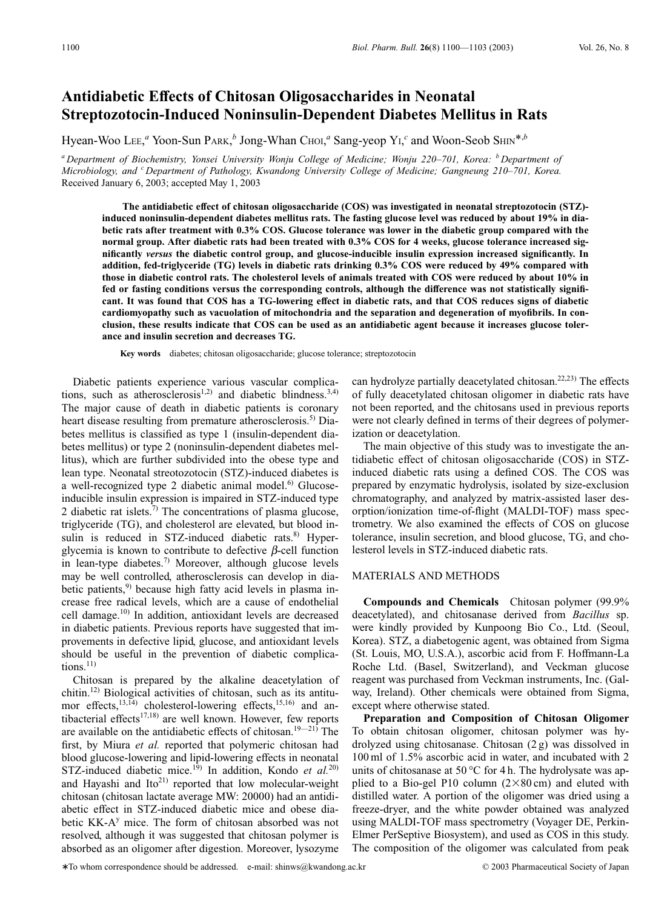# **Antidiabetic Effects of Chitosan Oligosaccharides in Neonatal Streptozotocin-Induced Noninsulin-Dependent Diabetes Mellitus in Rats**

Hyean-Woo Lee,<sup>*a*</sup> Yoon-Sun PARK,<sup>*b*</sup> Jong-Whan CHOI,<sup>*a*</sup> Sang-yeop Y<sub>1</sub>,<sup>*c*</sup> and Woon-Seob SHIN<sup>\*,*b*</sup>

*<sup>a</sup> Department of Biochemistry, Yonsei University Wonju College of Medicine; Wonju 220–701, Korea: <sup>b</sup> Department of Microbiology, and <sup>c</sup> Department of Pathology, Kwandong University College of Medicine; Gangneung 210–701, Korea.* Received January 6, 2003; accepted May 1, 2003

**The antidiabetic effect of chitosan oligosaccharide (COS) was investigated in neonatal streptozotocin (STZ) induced noninsulin-dependent diabetes mellitus rats. The fasting glucose level was reduced by about 19% in diabetic rats after treatment with 0.3% COS. Glucose tolerance was lower in the diabetic group compared with the normal group. After diabetic rats had been treated with 0.3% COS for 4 weeks, glucose tolerance increased significantly** *versus* **the diabetic control group, and glucose-inducible insulin expression increased significantly. In addition, fed-triglyceride (TG) levels in diabetic rats drinking 0.3% COS were reduced by 49% compared with those in diabetic control rats. The cholesterol levels of animals treated with COS were reduced by about 10% in fed or fasting conditions versus the corresponding controls, although the difference was not statistically significant. It was found that COS has a TG-lowering effect in diabetic rats, and that COS reduces signs of diabetic cardiomyopathy such as vacuolation of mitochondria and the separation and degeneration of myofibrils. In conclusion, these results indicate that COS can be used as an antidiabetic agent because it increases glucose tolerance and insulin secretion and decreases TG.**

**Key words** diabetes; chitosan oligosaccharide; glucose tolerance; streptozotocin

Diabetic patients experience various vascular complications, such as atherosclerosis<sup>1,2)</sup> and diabetic blindness.<sup>3,4)</sup> The major cause of death in diabetic patients is coronary heart disease resulting from premature atherosclerosis.<sup>5)</sup> Diabetes mellitus is classified as type 1 (insulin-dependent diabetes mellitus) or type 2 (noninsulin-dependent diabetes mellitus), which are further subdivided into the obese type and lean type. Neonatal streotozotocin (STZ)-induced diabetes is a well-recognized type 2 diabetic animal model. $6$  Glucoseinducible insulin expression is impaired in STZ-induced type 2 diabetic rat islets.<sup>7)</sup> The concentrations of plasma glucose, triglyceride (TG), and cholesterol are elevated, but blood insulin is reduced in STZ-induced diabetic rats.<sup>8)</sup> Hyperglycemia is known to contribute to defective  $\beta$ -cell function in lean-type diabetes.<sup>7)</sup> Moreover, although glucose levels may be well controlled, atherosclerosis can develop in diabetic patients, $9$  because high fatty acid levels in plasma increase free radical levels, which are a cause of endothelial cell damage.10) In addition, antioxidant levels are decreased in diabetic patients. Previous reports have suggested that improvements in defective lipid, glucose, and antioxidant levels should be useful in the prevention of diabetic complications. $^{11)}$ 

Chitosan is prepared by the alkaline deacetylation of chitin.12) Biological activities of chitosan, such as its antitumor effects,<sup>13,14)</sup> cholesterol-lowering effects,<sup>15,16)</sup> and antibacterial effects $17,18$  are well known. However, few reports are available on the antidiabetic effects of chitosan.<sup>19—21)</sup> The first, by Miura *et al.* reported that polymeric chitosan had blood glucose-lowering and lipid-lowering effects in neonatal STZ-induced diabetic mice.<sup>19</sup>) In addition, Kondo et al.<sup>20)</sup> and Hayashi and  $Ito^{21}$  reported that low molecular-weight chitosan (chitosan lactate average MW: 20000) had an antidiabetic effect in STZ-induced diabetic mice and obese diabetic KK-A<sup>y</sup> mice. The form of chitosan absorbed was not resolved, although it was suggested that chitosan polymer is absorbed as an oligomer after digestion. Moreover, lysozyme

can hydrolyze partially deacetylated chitosan.22,23) The effects of fully deacetylated chitosan oligomer in diabetic rats have not been reported, and the chitosans used in previous reports were not clearly defined in terms of their degrees of polymerization or deacetylation.

The main objective of this study was to investigate the antidiabetic effect of chitosan oligosaccharide (COS) in STZinduced diabetic rats using a defined COS. The COS was prepared by enzymatic hydrolysis, isolated by size-exclusion chromatography, and analyzed by matrix-assisted laser desorption/ionization time-of-flight (MALDI-TOF) mass spectrometry. We also examined the effects of COS on glucose tolerance, insulin secretion, and blood glucose, TG, and cholesterol levels in STZ-induced diabetic rats.

## MATERIALS AND METHODS

**Compounds and Chemicals** Chitosan polymer (99.9% deacetylated), and chitosanase derived from *Bacillus* sp. were kindly provided by Kunpoong Bio Co., Ltd. (Seoul, Korea). STZ, a diabetogenic agent, was obtained from Sigma (St. Louis, MO, U.S.A.), ascorbic acid from F. Hoffmann-La Roche Ltd. (Basel, Switzerland), and Veckman glucose reagent was purchased from Veckman instruments, Inc. (Galway, Ireland). Other chemicals were obtained from Sigma, except where otherwise stated.

**Preparation and Composition of Chitosan Oligomer** To obtain chitosan oligomer, chitosan polymer was hydrolyzed using chitosanase. Chitosan (2 g) was dissolved in 100 ml of 1.5% ascorbic acid in water, and incubated with 2 units of chitosanase at 50 °C for 4 h. The hydrolysate was applied to a Bio-gel P10 column  $(2\times80 \text{ cm})$  and eluted with distilled water. A portion of the oligomer was dried using a freeze-dryer, and the white powder obtained was analyzed using MALDI-TOF mass spectrometry (Voyager DE, Perkin-Elmer PerSeptive Biosystem), and used as COS in this study. The composition of the oligomer was calculated from peak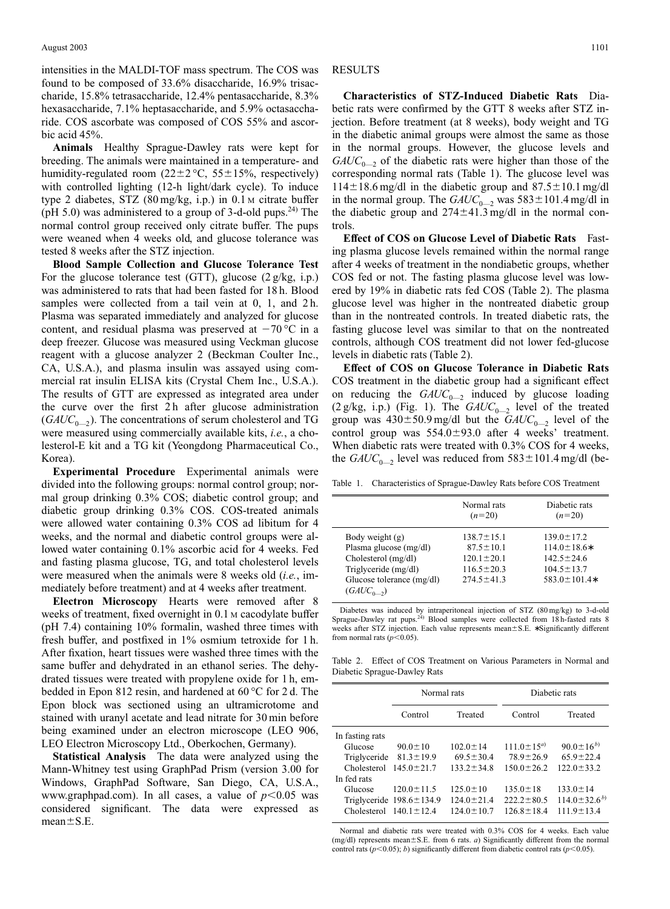intensities in the MALDI-TOF mass spectrum. The COS was found to be composed of 33.6% disaccharide, 16.9% trisaccharide, 15.8% tetrasaccharide, 12.4% pentasaccharide, 8.3% hexasaccharide, 7.1% heptasaccharide, and 5.9% octasaccharide. COS ascorbate was composed of COS 55% and ascorbic acid 45%.

**Animals** Healthy Sprague-Dawley rats were kept for breeding. The animals were maintained in a temperature- and humidity-regulated room  $(22 \pm 2 \degree C, 55 \pm 15\%$ , respectively) with controlled lighting (12-h light/dark cycle). To induce type 2 diabetes, STZ (80 mg/kg, i.p.) in 0.1 <sup>M</sup> citrate buffer (pH 5.0) was administered to a group of 3-d-old pups.<sup>24)</sup> The normal control group received only citrate buffer. The pups were weaned when 4 weeks old, and glucose tolerance was tested 8 weeks after the STZ injection.

**Blood Sample Collection and Glucose Tolerance Test** For the glucose tolerance test (GTT), glucose  $(2 \text{ g/kg}, \text{ i.p.})$ was administered to rats that had been fasted for 18 h. Blood samples were collected from a tail vein at 0, 1, and 2h. Plasma was separated immediately and analyzed for glucose content, and residual plasma was preserved at  $-70$  °C in a deep freezer. Glucose was measured using Veckman glucose reagent with a glucose analyzer 2 (Beckman Coulter Inc., CA, U.S.A.), and plasma insulin was assayed using commercial rat insulin ELISA kits (Crystal Chem Inc., U.S.A.). The results of GTT are expressed as integrated area under the curve over the first 2 h after glucose administration  $(GAUC_{0-2})$ . The concentrations of serum cholesterol and TG were measured using commercially available kits, *i.e.*, a cholesterol-E kit and a TG kit (Yeongdong Pharmaceutical Co., Korea).

**Experimental Procedure** Experimental animals were divided into the following groups: normal control group; normal group drinking 0.3% COS; diabetic control group; and diabetic group drinking 0.3% COS. COS-treated animals were allowed water containing 0.3% COS ad libitum for 4 weeks, and the normal and diabetic control groups were allowed water containing 0.1% ascorbic acid for 4 weeks. Fed and fasting plasma glucose, TG, and total cholesterol levels were measured when the animals were 8 weeks old (*i.e.*, immediately before treatment) and at 4 weeks after treatment.

**Electron Microscopy** Hearts were removed after 8 weeks of treatment, fixed overnight in  $0.1$  M cacodylate buffer (pH 7.4) containing 10% formalin, washed three times with fresh buffer, and postfixed in 1% osmium tetroxide for 1 h. After fixation, heart tissues were washed three times with the same buffer and dehydrated in an ethanol series. The dehydrated tissues were treated with propylene oxide for 1 h, embedded in Epon 812 resin, and hardened at 60 °C for 2 d. The Epon block was sectioned using an ultramicrotome and stained with uranyl acetate and lead nitrate for 30 min before being examined under an electron microscope (LEO 906, LEO Electron Microscopy Ltd., Oberkochen, Germany).

**Statistical Analysis** The data were analyzed using the Mann-Whitney test using GraphPad Prism (version 3.00 for Windows, GraphPad Software, San Diego, CA, U.S.A., www.graphpad.com). In all cases, a value of  $p < 0.05$  was considered significant. The data were expressed as  $mean \pm S.E$ .

#### RESULTS

**Characteristics of STZ-Induced Diabetic Rats** Diabetic rats were confirmed by the GTT 8 weeks after STZ injection. Before treatment (at 8 weeks), body weight and TG in the diabetic animal groups were almost the same as those in the normal groups. However, the glucose levels and  $GAUC_{0}$  of the diabetic rats were higher than those of the corresponding normal rats (Table 1). The glucose level was  $114\pm18.6$  mg/dl in the diabetic group and  $87.5\pm10.1$  mg/dl in the normal group. The  $GAUC_{0-2}$  was  $583 \pm 101.4$  mg/dl in the diabetic group and  $274\pm41.3$  mg/dl in the normal controls.

**Effect of COS on Glucose Level of Diabetic Rats** Fasting plasma glucose levels remained within the normal range after 4 weeks of treatment in the nondiabetic groups, whether COS fed or not. The fasting plasma glucose level was lowered by 19% in diabetic rats fed COS (Table 2). The plasma glucose level was higher in the nontreated diabetic group than in the nontreated controls. In treated diabetic rats, the fasting glucose level was similar to that on the nontreated controls, although COS treatment did not lower fed-glucose levels in diabetic rats (Table 2).

**Effect of COS on Glucose Tolerance in Diabetic Rats** COS treatment in the diabetic group had a significant effect on reducing the  $GAUC_{0-2}$  induced by glucose loading  $(2 \text{ g/kg}, \text{ i.p.})$  (Fig. 1). The  $GAUC_{0-2}$  level of the treated group was  $430 \pm 50.9$  mg/dl but the  $G A U C_{0}$ <sub>2</sub> level of the control group was  $554.0 \pm 93.0$  after 4 weeks' treatment. When diabetic rats were treated with 0.3% COS for 4 weeks, the  $G A U C_{0-2}$  level was reduced from  $583 \pm 101.4$  mg/dl (be-

Table 1. Characteristics of Sprague-Dawley Rats before COS Treatment

|                                                                                                                                           | Normal rats<br>$(n=20)$                                                                         | Diabetic rats<br>$(n=20)$                                                                           |
|-------------------------------------------------------------------------------------------------------------------------------------------|-------------------------------------------------------------------------------------------------|-----------------------------------------------------------------------------------------------------|
| Body weight $(g)$<br>Plasma glucose (mg/dl)<br>Cholesterol (mg/dl)<br>Triglyceride (mg/dl)<br>Glucose tolerance (mg/dl)<br>$(GAUC_{0,2})$ | $138.7 \pm 15.1$<br>$87.5 \pm 10.1$<br>$120.1 \pm 20.1$<br>$116.5 \pm 20.3$<br>$274.5 \pm 41.3$ | $139.0 \pm 17.2$<br>$114.0 \pm 18.6*$<br>$142.5 \pm 24.6$<br>$104.5 \pm 13.7$<br>$583.0 \pm 101.4*$ |

Diabetes was induced by intraperitoneal injection of STZ (80 mg/kg) to 3-d-old Sprague-Dawley rat pups.<sup>24)</sup> Blood samples were collected from 18 h-fasted rats 8 weeks after STZ injection. Each value represents mean±S.E. \* Significantly different from normal rats  $(p<0.05)$ .

Table 2. Effect of COS Treatment on Various Parameters in Normal and Diabetic Sprague-Dawley Rats

|                 | Normal rats                    |                  | Diabetic rats      |                      |
|-----------------|--------------------------------|------------------|--------------------|----------------------|
|                 | Control                        | Treated          | Control            | Treated              |
| In fasting rats |                                |                  |                    |                      |
| Glucose         | $90.0 \pm 10$                  | $102.0 \pm 14$   | $111.0 \pm 15^{a}$ | $90.0 \pm 16^{b}$    |
| Triglyceride    | $81.3 \pm 19.9$                | $69.5 \pm 30.4$  | $78.9 \pm 26.9$    | $65.9 \pm 22.4$      |
| Cholesterol     | $1450 + 217$                   | $1332 + 348$     | $1500+262$         | $122.0 + 33.2$       |
| In fed rats     |                                |                  |                    |                      |
| Glucose         | $120.0 \pm 11.5$               | $125.0 \pm 10$   | $135.0 \pm 18$     | $133.0 \pm 14$       |
|                 | Triglyceride $198.6 \pm 134.9$ | $124.0 \pm 21.4$ | $222.2 \pm 80.5$   | $114.0 \pm 32.6^{b}$ |
|                 | Cholesterol $140.1 \pm 12.4$   | $1240+107$       | $126.8 \pm 18.4$   | $111.9 \pm 13.4$     |

Normal and diabetic rats were treated with 0.3% COS for 4 weeks. Each value (mg/dl) represents mean $\pm$ S.E. from 6 rats. *a*) Significantly different from the normal control rats ( $p$ <0.05); *b*) significantly different from diabetic control rats ( $p$ <0.05).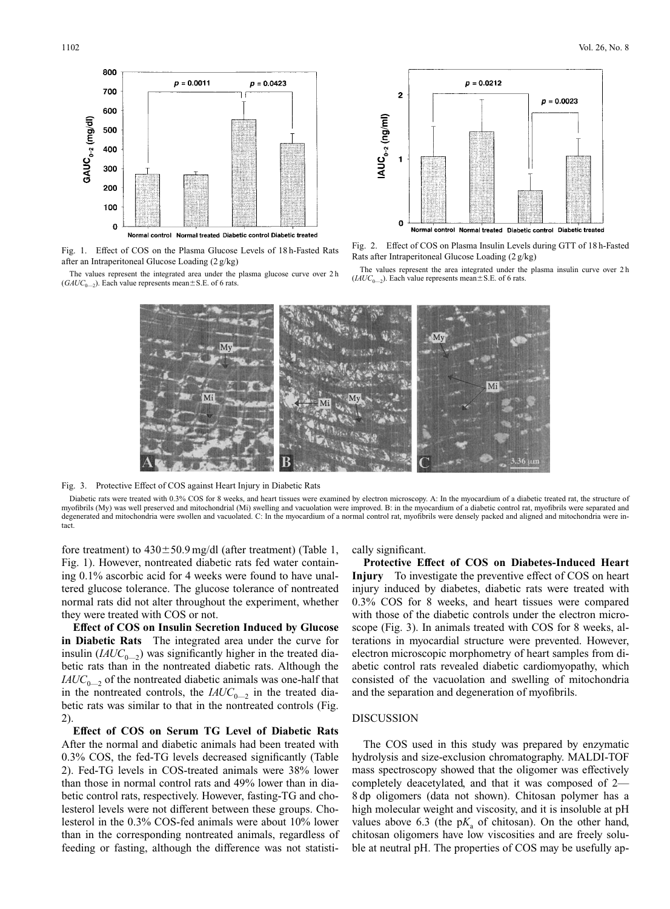

Fig. 1. Effect of COS on the Plasma Glucose Levels of 18 h-Fasted Rats after an Intraperitoneal Glucose Loading (2 g/kg)

The values represent the integrated area under the plasma glucose curve over 2 h  $(GAUC_{0-2})$ . Each value represents mean  $\pm$  S.E. of 6 rats.



Fig. 2. Effect of COS on Plasma Insulin Levels during GTT of 18 h-Fasted Rats after Intraperitoneal Glucose Loading (2 g/kg)

The values represent the area integrated under the plasma insulin curve over 2 h  $(IAUC_{0-2})$ . Each value represents mean ± S.E. of 6 rats.



Fig. 3. Protective Effect of COS against Heart Injury in Diabetic Rats

Diabetic rats were treated with 0.3% COS for 8 weeks, and heart tissues were examined by electron microscopy. A: In the myocardium of a diabetic treated rat, the structure of myofibrils (My) was well preserved and mitochondrial (Mi) swelling and vacuolation were improved. B: in the myocardium of a diabetic control rat, myofibrils were separated and degenerated and mitochondria were swollen and vacuolated. C: In the myocardium of a normal control rat, myofibrils were densely packed and aligned and mitochondria were intact.

fore treatment) to  $430 \pm 50.9$  mg/dl (after treatment) (Table 1, Fig. 1). However, nontreated diabetic rats fed water containing 0.1% ascorbic acid for 4 weeks were found to have unaltered glucose tolerance. The glucose tolerance of nontreated normal rats did not alter throughout the experiment, whether they were treated with COS or not.

**Effect of COS on Insulin Secretion Induced by Glucose in Diabetic Rats** The integrated area under the curve for insulin  $(IAUC_{0-2})$  was significantly higher in the treated diabetic rats than in the nontreated diabetic rats. Although the  $I A U C_{0}$  of the nontreated diabetic animals was one-half that in the nontreated controls, the  $IAUC_{0}$  in the treated diabetic rats was similar to that in the nontreated controls (Fig. 2).

**Effect of COS on Serum TG Level of Diabetic Rats** After the normal and diabetic animals had been treated with 0.3% COS, the fed-TG levels decreased significantly (Table 2). Fed-TG levels in COS-treated animals were 38% lower than those in normal control rats and 49% lower than in diabetic control rats, respectively. However, fasting-TG and cholesterol levels were not different between these groups. Cholesterol in the 0.3% COS-fed animals were about 10% lower than in the corresponding nontreated animals, regardless of feeding or fasting, although the difference was not statisti-

### cally significant.

**Protective Effect of COS on Diabetes-Induced Heart Injury** To investigate the preventive effect of COS on heart injury induced by diabetes, diabetic rats were treated with 0.3% COS for 8 weeks, and heart tissues were compared with those of the diabetic controls under the electron microscope (Fig. 3). In animals treated with COS for 8 weeks, alterations in myocardial structure were prevented. However, electron microscopic morphometry of heart samples from diabetic control rats revealed diabetic cardiomyopathy, which consisted of the vacuolation and swelling of mitochondria and the separation and degeneration of myofibrils.

## DISCUSSION

The COS used in this study was prepared by enzymatic hydrolysis and size-exclusion chromatography. MALDI-TOF mass spectroscopy showed that the oligomer was effectively completely deacetylated, and that it was composed of 2— 8 dp oligomers (data not shown). Chitosan polymer has a high molecular weight and viscosity, and it is insoluble at pH values above 6.3 (the  $pK_a$  of chitosan). On the other hand, chitosan oligomers have low viscosities and are freely soluble at neutral pH. The properties of COS may be usefully ap-